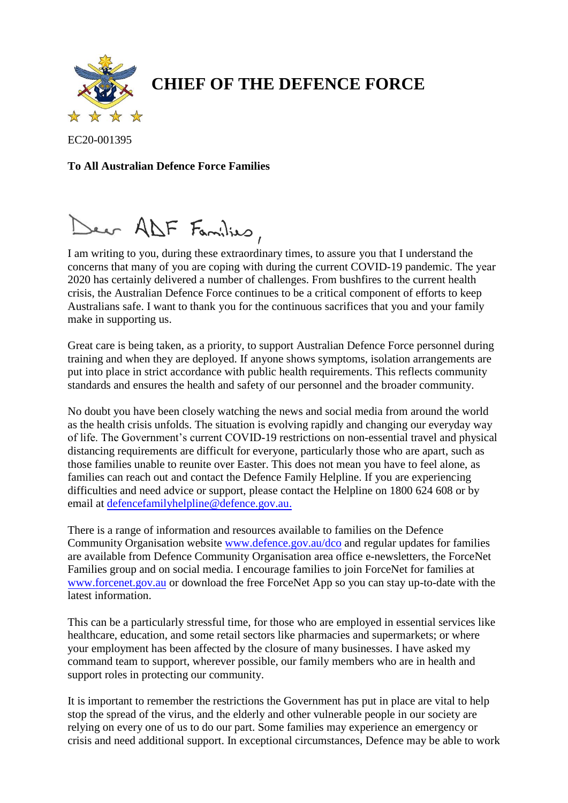

## **CHIEF OF THE DEFENCE FORCE**

EC20-001395

## **To All Australian Defence Force Families**

Deer ADF Families,

I am writing to you, during these extraordinary times, to assure you that I understand the concerns that many of you are coping with during the current COVID-19 pandemic. The year 2020 has certainly delivered a number of challenges. From bushfires to the current health crisis, the Australian Defence Force continues to be a critical component of efforts to keep Australians safe. I want to thank you for the continuous sacrifices that you and your family make in supporting us.

Great care is being taken, as a priority, to support Australian Defence Force personnel during training and when they are deployed. If anyone shows symptoms, isolation arrangements are put into place in strict accordance with public health requirements. This reflects community standards and ensures the health and safety of our personnel and the broader community.

No doubt you have been closely watching the news and social media from around the world as the health crisis unfolds. The situation is evolving rapidly and changing our everyday way of life. The Government's current COVID-19 restrictions on non-essential travel and physical distancing requirements are difficult for everyone, particularly those who are apart, such as those families unable to reunite over Easter. This does not mean you have to feel alone, as families can reach out and contact the Defence Family Helpline. If you are experiencing difficulties and need advice or support, please contact the Helpline on 1800 624 608 or by email a[t defencefamilyhelpline@defence.gov.au.](mailto:defencefamilyhelpline@defence.gov.au)

There is a range of information and resources available to families on the Defence Community Organisation website [www.defence.gov.au/dco](http://www.defence.gov.au/dco) and regular updates for families are available from Defence Community Organisation area office e-newsletters, the ForceNet Families group and on social media. I encourage families to join ForceNet for families at [www.forcenet.gov.au](http://www.forcenet.gov.au/) or download the free ForceNet App so you can stay up-to-date with the latest information.

This can be a particularly stressful time, for those who are employed in essential services like healthcare, education, and some retail sectors like pharmacies and supermarkets; or where your employment has been affected by the closure of many businesses. I have asked my command team to support, wherever possible, our family members who are in health and support roles in protecting our community.

It is important to remember the restrictions the Government has put in place are vital to help stop the spread of the virus, and the elderly and other vulnerable people in our society are relying on every one of us to do our part. Some families may experience an emergency or crisis and need additional support. In exceptional circumstances, Defence may be able to work